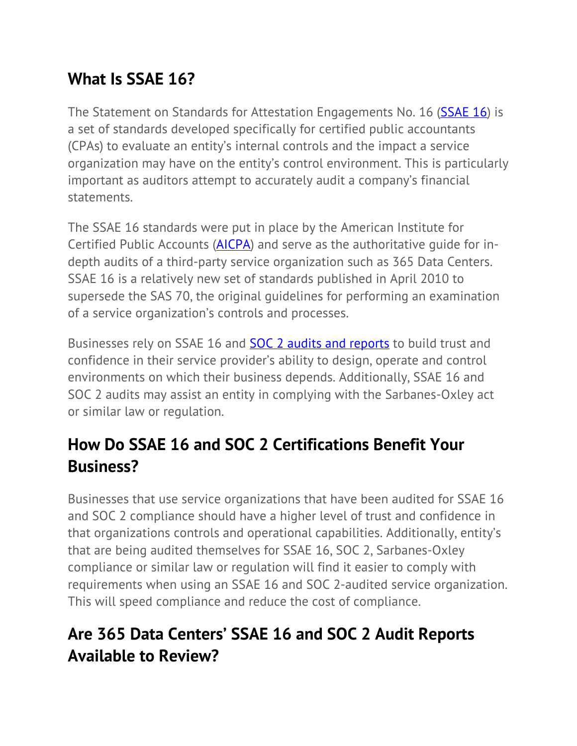## **What Is SSAE 16?**

The Statement on Standards for Attestation Engagements No. 16 (**SSAE 16**) is a set of standards developed specifically for certified public accountants (CPAs) to evaluate an entity's internal controls and the impact a service organization may have on the entity's control environment. This is particularly important as auditors attempt to accurately audit a company's financial statements.

The SSAE 16 standards were put in place by the American Institute for Certified Public Accounts (AICPA) and serve as the authoritative guide for indepth audits of a third-party service organization such as 365 Data Centers. SSAE 16 is a relatively new set of standards published in April 2010 to supersede the SAS 70, the original guidelines for performing an examination of a service organization's controls and processes.

Businesses rely on SSAE 16 and **SOC 2 audits and reports** to build trust and confidence in their service provider's ability to design, operate and control environments on which their business depends. Additionally, SSAE 16 and SOC 2 audits may assist an entity in complying with the Sarbanes-Oxley act or similar law or regulation.

## **How Do SSAE 16 and SOC 2 Certifications Benefit Your Business?**

Businesses that use service organizations that have been audited for SSAE 16 and SOC 2 compliance should have a higher level of trust and confidence in that organizations controls and operational capabilities. Additionally, entity's that are being audited themselves for SSAE 16, SOC 2, Sarbanes-Oxley compliance or similar law or regulation will find it easier to comply with requirements when using an SSAE 16 and SOC 2-audited service organization. This will speed compliance and reduce the cost of compliance.

## **Are 365 Data Centers' SSAE 16 and SOC 2 Audit Reports Available to Review?**